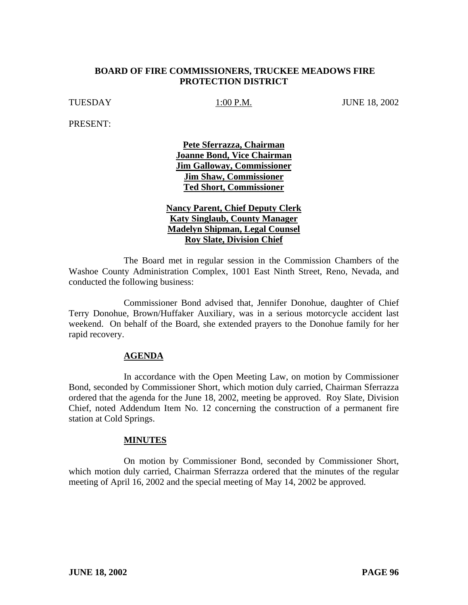## **BOARD OF FIRE COMMISSIONERS, TRUCKEE MEADOWS FIRE PROTECTION DISTRICT**

TUESDAY 1:00 P.M. JUNE 18, 2002

PRESENT:

**Pete Sferrazza, Chairman Joanne Bond, Vice Chairman Jim Galloway, Commissioner Jim Shaw, Commissioner Ted Short, Commissioner**

**Nancy Parent, Chief Deputy Clerk Katy Singlaub, County Manager Madelyn Shipman, Legal Counsel Roy Slate, Division Chief**

The Board met in regular session in the Commission Chambers of the Washoe County Administration Complex, 1001 East Ninth Street, Reno, Nevada, and conducted the following business:

Commissioner Bond advised that, Jennifer Donohue, daughter of Chief Terry Donohue, Brown/Huffaker Auxiliary, was in a serious motorcycle accident last weekend. On behalf of the Board, she extended prayers to the Donohue family for her rapid recovery.

#### **AGENDA**

In accordance with the Open Meeting Law, on motion by Commissioner Bond, seconded by Commissioner Short, which motion duly carried, Chairman Sferrazza ordered that the agenda for the June 18, 2002, meeting be approved. Roy Slate, Division Chief, noted Addendum Item No. 12 concerning the construction of a permanent fire station at Cold Springs.

#### **MINUTES**

On motion by Commissioner Bond, seconded by Commissioner Short, which motion duly carried, Chairman Sferrazza ordered that the minutes of the regular meeting of April 16, 2002 and the special meeting of May 14, 2002 be approved.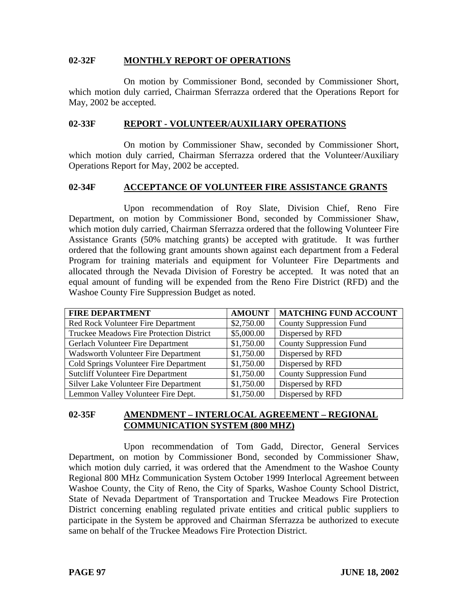## **02-32F MONTHLY REPORT OF OPERATIONS**

On motion by Commissioner Bond, seconded by Commissioner Short, which motion duly carried, Chairman Sferrazza ordered that the Operations Report for May, 2002 be accepted.

## **02-33F REPORT - VOLUNTEER/AUXILIARY OPERATIONS**

On motion by Commissioner Shaw, seconded by Commissioner Short, which motion duly carried, Chairman Sferrazza ordered that the Volunteer/Auxiliary Operations Report for May, 2002 be accepted.

## **02-34F ACCEPTANCE OF VOLUNTEER FIRE ASSISTANCE GRANTS**

Upon recommendation of Roy Slate, Division Chief, Reno Fire Department, on motion by Commissioner Bond, seconded by Commissioner Shaw, which motion duly carried, Chairman Sferrazza ordered that the following Volunteer Fire Assistance Grants (50% matching grants) be accepted with gratitude. It was further ordered that the following grant amounts shown against each department from a Federal Program for training materials and equipment for Volunteer Fire Departments and allocated through the Nevada Division of Forestry be accepted. It was noted that an equal amount of funding will be expended from the Reno Fire District (RFD) and the Washoe County Fire Suppression Budget as noted.

| <b>FIRE DEPARTMENT</b>                     | <b>AMOUNT</b> | <b>MATCHING FUND ACCOUNT</b>   |
|--------------------------------------------|---------------|--------------------------------|
| Red Rock Volunteer Fire Department         | \$2,750.00    | <b>County Suppression Fund</b> |
| Truckee Meadows Fire Protection District   | \$5,000.00    | Dispersed by RFD               |
| Gerlach Volunteer Fire Department          | \$1,750.00    | <b>County Suppression Fund</b> |
| <b>Wadsworth Volunteer Fire Department</b> | \$1,750.00    | Dispersed by RFD               |
| Cold Springs Volunteer Fire Department     | \$1,750.00    | Dispersed by RFD               |
| <b>Sutcliff Volunteer Fire Department</b>  | \$1,750.00    | <b>County Suppression Fund</b> |
| Silver Lake Volunteer Fire Department      | \$1,750.00    | Dispersed by RFD               |
| Lemmon Valley Volunteer Fire Dept.         | \$1,750.00    | Dispersed by RFD               |

## **02-35F AMENDMENT – INTERLOCAL AGREEMENT – REGIONAL COMMUNICATION SYSTEM (800 MHZ)**

Upon recommendation of Tom Gadd, Director, General Services Department, on motion by Commissioner Bond, seconded by Commissioner Shaw, which motion duly carried, it was ordered that the Amendment to the Washoe County Regional 800 MHz Communication System October 1999 Interlocal Agreement between Washoe County, the City of Reno, the City of Sparks, Washoe County School District, State of Nevada Department of Transportation and Truckee Meadows Fire Protection District concerning enabling regulated private entities and critical public suppliers to participate in the System be approved and Chairman Sferrazza be authorized to execute same on behalf of the Truckee Meadows Fire Protection District.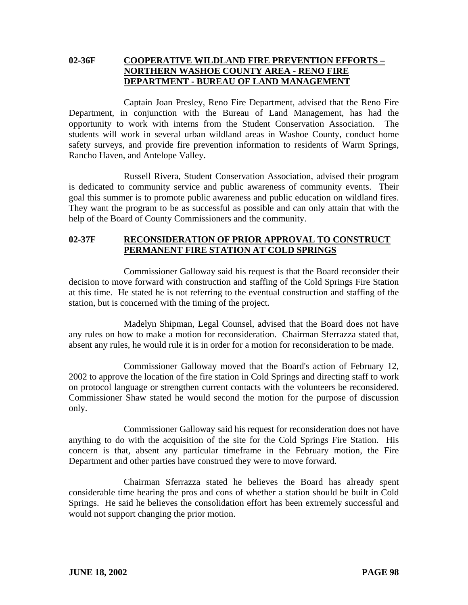# **02-36F COOPERATIVE WILDLAND FIRE PREVENTION EFFORTS – NORTHERN WASHOE COUNTY AREA - RENO FIRE DEPARTMENT - BUREAU OF LAND MANAGEMENT**

Captain Joan Presley, Reno Fire Department, advised that the Reno Fire Department, in conjunction with the Bureau of Land Management, has had the opportunity to work with interns from the Student Conservation Association. The students will work in several urban wildland areas in Washoe County, conduct home safety surveys, and provide fire prevention information to residents of Warm Springs, Rancho Haven, and Antelope Valley.

Russell Rivera, Student Conservation Association, advised their program is dedicated to community service and public awareness of community events. Their goal this summer is to promote public awareness and public education on wildland fires. They want the program to be as successful as possible and can only attain that with the help of the Board of County Commissioners and the community.

## **02-37F RECONSIDERATION OF PRIOR APPROVAL TO CONSTRUCT PERMANENT FIRE STATION AT COLD SPRINGS**

Commissioner Galloway said his request is that the Board reconsider their decision to move forward with construction and staffing of the Cold Springs Fire Station at this time. He stated he is not referring to the eventual construction and staffing of the station, but is concerned with the timing of the project.

Madelyn Shipman, Legal Counsel, advised that the Board does not have any rules on how to make a motion for reconsideration. Chairman Sferrazza stated that, absent any rules, he would rule it is in order for a motion for reconsideration to be made.

Commissioner Galloway moved that the Board's action of February 12, 2002 to approve the location of the fire station in Cold Springs and directing staff to work on protocol language or strengthen current contacts with the volunteers be reconsidered. Commissioner Shaw stated he would second the motion for the purpose of discussion only.

Commissioner Galloway said his request for reconsideration does not have anything to do with the acquisition of the site for the Cold Springs Fire Station. His concern is that, absent any particular timeframe in the February motion, the Fire Department and other parties have construed they were to move forward.

Chairman Sferrazza stated he believes the Board has already spent considerable time hearing the pros and cons of whether a station should be built in Cold Springs. He said he believes the consolidation effort has been extremely successful and would not support changing the prior motion.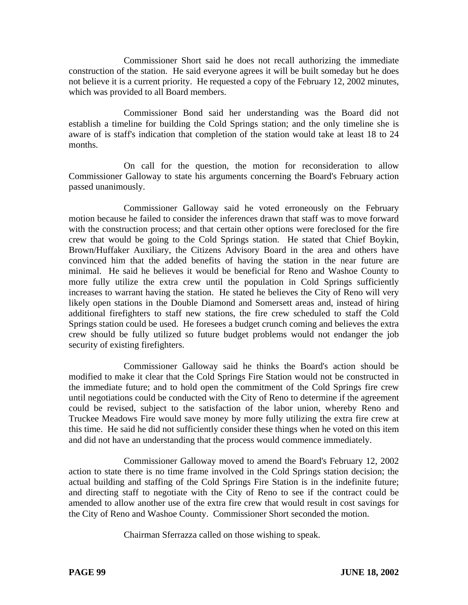Commissioner Short said he does not recall authorizing the immediate construction of the station. He said everyone agrees it will be built someday but he does not believe it is a current priority. He requested a copy of the February 12, 2002 minutes, which was provided to all Board members.

Commissioner Bond said her understanding was the Board did not establish a timeline for building the Cold Springs station; and the only timeline she is aware of is staff's indication that completion of the station would take at least 18 to 24 months.

On call for the question, the motion for reconsideration to allow Commissioner Galloway to state his arguments concerning the Board's February action passed unanimously.

Commissioner Galloway said he voted erroneously on the February motion because he failed to consider the inferences drawn that staff was to move forward with the construction process; and that certain other options were foreclosed for the fire crew that would be going to the Cold Springs station. He stated that Chief Boykin, Brown/Huffaker Auxiliary, the Citizens Advisory Board in the area and others have convinced him that the added benefits of having the station in the near future are minimal. He said he believes it would be beneficial for Reno and Washoe County to more fully utilize the extra crew until the population in Cold Springs sufficiently increases to warrant having the station. He stated he believes the City of Reno will very likely open stations in the Double Diamond and Somersett areas and, instead of hiring additional firefighters to staff new stations, the fire crew scheduled to staff the Cold Springs station could be used. He foresees a budget crunch coming and believes the extra crew should be fully utilized so future budget problems would not endanger the job security of existing firefighters.

Commissioner Galloway said he thinks the Board's action should be modified to make it clear that the Cold Springs Fire Station would not be constructed in the immediate future; and to hold open the commitment of the Cold Springs fire crew until negotiations could be conducted with the City of Reno to determine if the agreement could be revised, subject to the satisfaction of the labor union, whereby Reno and Truckee Meadows Fire would save money by more fully utilizing the extra fire crew at this time. He said he did not sufficiently consider these things when he voted on this item and did not have an understanding that the process would commence immediately.

Commissioner Galloway moved to amend the Board's February 12, 2002 action to state there is no time frame involved in the Cold Springs station decision; the actual building and staffing of the Cold Springs Fire Station is in the indefinite future; and directing staff to negotiate with the City of Reno to see if the contract could be amended to allow another use of the extra fire crew that would result in cost savings for the City of Reno and Washoe County. Commissioner Short seconded the motion.

Chairman Sferrazza called on those wishing to speak.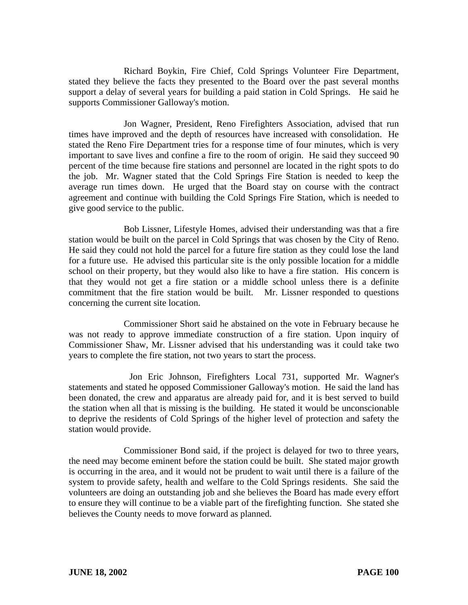Richard Boykin, Fire Chief, Cold Springs Volunteer Fire Department, stated they believe the facts they presented to the Board over the past several months support a delay of several years for building a paid station in Cold Springs. He said he supports Commissioner Galloway's motion.

Jon Wagner, President, Reno Firefighters Association, advised that run times have improved and the depth of resources have increased with consolidation. He stated the Reno Fire Department tries for a response time of four minutes, which is very important to save lives and confine a fire to the room of origin. He said they succeed 90 percent of the time because fire stations and personnel are located in the right spots to do the job. Mr. Wagner stated that the Cold Springs Fire Station is needed to keep the average run times down. He urged that the Board stay on course with the contract agreement and continue with building the Cold Springs Fire Station, which is needed to give good service to the public.

Bob Lissner, Lifestyle Homes, advised their understanding was that a fire station would be built on the parcel in Cold Springs that was chosen by the City of Reno. He said they could not hold the parcel for a future fire station as they could lose the land for a future use. He advised this particular site is the only possible location for a middle school on their property, but they would also like to have a fire station. His concern is that they would not get a fire station or a middle school unless there is a definite commitment that the fire station would be built. Mr. Lissner responded to questions concerning the current site location.

Commissioner Short said he abstained on the vote in February because he was not ready to approve immediate construction of a fire station. Upon inquiry of Commissioner Shaw, Mr. Lissner advised that his understanding was it could take two years to complete the fire station, not two years to start the process.

 Jon Eric Johnson, Firefighters Local 731, supported Mr. Wagner's statements and stated he opposed Commissioner Galloway's motion. He said the land has been donated, the crew and apparatus are already paid for, and it is best served to build the station when all that is missing is the building. He stated it would be unconscionable to deprive the residents of Cold Springs of the higher level of protection and safety the station would provide.

Commissioner Bond said, if the project is delayed for two to three years, the need may become eminent before the station could be built. She stated major growth is occurring in the area, and it would not be prudent to wait until there is a failure of the system to provide safety, health and welfare to the Cold Springs residents. She said the volunteers are doing an outstanding job and she believes the Board has made every effort to ensure they will continue to be a viable part of the firefighting function. She stated she believes the County needs to move forward as planned.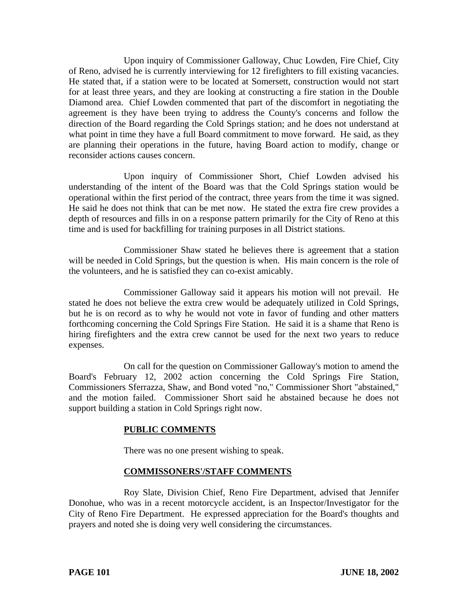Upon inquiry of Commissioner Galloway, Chuc Lowden, Fire Chief, City of Reno, advised he is currently interviewing for 12 firefighters to fill existing vacancies. He stated that, if a station were to be located at Somersett, construction would not start for at least three years, and they are looking at constructing a fire station in the Double Diamond area. Chief Lowden commented that part of the discomfort in negotiating the agreement is they have been trying to address the County's concerns and follow the direction of the Board regarding the Cold Springs station; and he does not understand at what point in time they have a full Board commitment to move forward. He said, as they are planning their operations in the future, having Board action to modify, change or reconsider actions causes concern.

Upon inquiry of Commissioner Short, Chief Lowden advised his understanding of the intent of the Board was that the Cold Springs station would be operational within the first period of the contract, three years from the time it was signed. He said he does not think that can be met now. He stated the extra fire crew provides a depth of resources and fills in on a response pattern primarily for the City of Reno at this time and is used for backfilling for training purposes in all District stations.

Commissioner Shaw stated he believes there is agreement that a station will be needed in Cold Springs, but the question is when. His main concern is the role of the volunteers, and he is satisfied they can co-exist amicably.

Commissioner Galloway said it appears his motion will not prevail. He stated he does not believe the extra crew would be adequately utilized in Cold Springs, but he is on record as to why he would not vote in favor of funding and other matters forthcoming concerning the Cold Springs Fire Station. He said it is a shame that Reno is hiring firefighters and the extra crew cannot be used for the next two years to reduce expenses.

On call for the question on Commissioner Galloway's motion to amend the Board's February 12, 2002 action concerning the Cold Springs Fire Station, Commissioners Sferrazza, Shaw, and Bond voted "no," Commissioner Short "abstained," and the motion failed. Commissioner Short said he abstained because he does not support building a station in Cold Springs right now.

# **PUBLIC COMMENTS**

There was no one present wishing to speak.

# **COMMISSONERS'/STAFF COMMENTS**

Roy Slate, Division Chief, Reno Fire Department, advised that Jennifer Donohue, who was in a recent motorcycle accident, is an Inspector/Investigator for the City of Reno Fire Department. He expressed appreciation for the Board's thoughts and prayers and noted she is doing very well considering the circumstances.